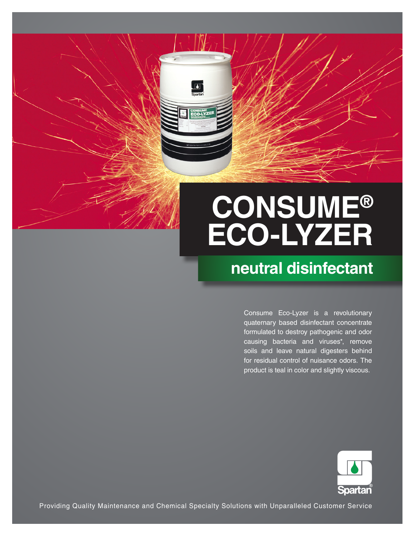# **CONSUME® ECO-LYZER**

# **neutral disinfectant**

Consume Eco-Lyzer is a revolutionary quaternary based disinfectant concentrate formulated to destroy pathogenic and odor causing bacteria and viruses\*, remove soils and leave natural digesters behind for residual control of nuisance odors. The product is teal in color and slightly viscous.



Providing Quality Maintenance and Chemical Specialty Solutions with Unparalleled Customer Service